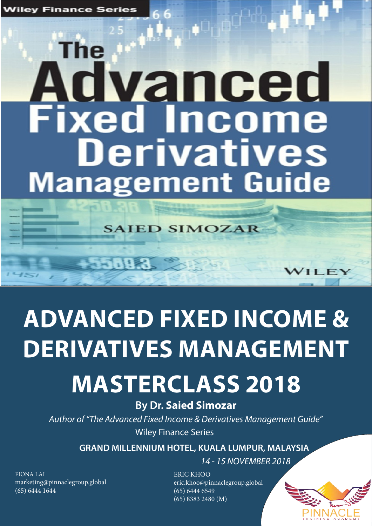# he Advanced **Fixed Income Derivatives Management Guide**

**SAIED SIMOZAR** 

588

# **ADVANCED FIXED INCOME & DERIVATIVES MANAGEMENT**

## **MASTERCLASS 2018**

### **By Dr. Saied Simozar**

*Author of "The Advanced Fixed Income & Derivatives Management Guide"*  Wiley Finance Series

**GRAND MILLENNIUM HOTEL, KUALA LUMPUR, MALAYSIA**

*14 - 15 NOVEMBER 2018*

FIONA LAI marketing@pinnaclegroup.global (65) 6444 1644

ERIC KHOO eric.khoo@pinnaclegroup.global (65) 6444 6549 (65) 8383 2480 (M)



**ILE**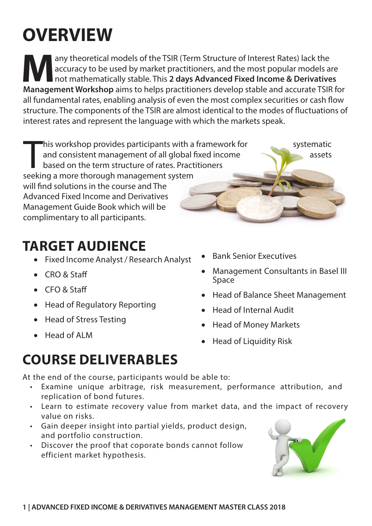### **OVERVIEW**

any theoretical models of the TSIR (Term Structure of Interest Rates) lack the<br>accuracy to be used by market practitioners, and the most popular models a<br>not mathematically stable. This 2 days Advanced Fixed Income & Deriv accuracy to be used by market practitioners, and the most popular models are not mathematically stable. This **2 days Advanced Fixed Income & Derivatives Management Workshop** aims to helps practitioners develop stable and accurate TSIR for all fundamental rates, enabling analysis of even the most complex securities or cash flow structure. The components of the TSIR are almost identical to the modes of fluctuations of interest rates and represent the language with which the markets speak.

This workshop provides participants with a<br>and consistent management of all global f<br>based on the term structure of rates. Pract<br>seeking a more thorough management system his workshop provides participants with a framework for systematic and consistent management of all global fixed income based on the term structure of rates. Practitioners will find solutions in the course and The Advanced Fixed Income and Derivatives Management Guide Book which will be complimentary to all participants.

### **TARGET AUDIENCE**

- • Fixed Income Analyst / Research Analyst
- • CRO & Staff
- • CFO & Staff
- Head of Regulatory Reporting
- Head of Stress Testing
- • Head of ALM

### **COURSE DELIVERABLES**

At the end of the course, participants would be able to:

- Examine unique arbitrage, risk measurement, performance attribution, and replication of bond futures.
- Learn to estimate recovery value from market data, and the impact of recovery value on risks.
- Gain deeper insight into partial yields, product design, and portfolio construction.
- Discover the proof that coporate bonds cannot follow efficient market hypothesis.
- **Bank Senior Executives**
- Management Consultants in Basel III Space
- • Head of Balance Sheet Management
- • Head of Internal Audit
- • Head of Money Markets
- **Head of Liquidity Risk**

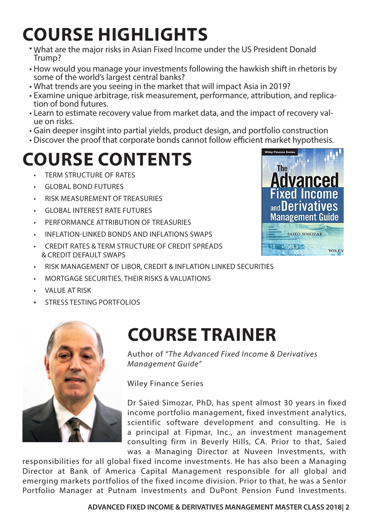## **COURSE HIGHLIGHTS**

- What are the major risks in Asian Fixed Income under the US President Donald Trump?
- How would you manage your investments following the hawkish shift in rhetoris by some of the world's largest central banks?
- What trends are you seeing in the market that will impact Asia in 2019?
- Examine unique arbitrage, risk measurement, performance, attribution, and replica- tion of bond futures.
- Learn to estimate recovery value from market data, and the impact of recovery val- ue on risks.
- Gain deeper insgiht into partial yields, product design, and portfolio construction
- Discover the proof that corporate bonds cannot follow efficient market hypothesis.

## **COURSE CONTENTS**

- **TERM STRUCTURE OF RATES**
- GLOBAL BOND FUTURES
- RISK MEASUREMENT OF TREASURIES
- GLOBAL INTEREST RATE FUTURES
- PERFORMANCE ATTRIBUTION OF TREASURIES
- INFLATION-LINKED BONDS AND INFLATIONS SWAPS
- CREDIT RATES & TERM STRUCTURE OF CREDIT SPREADS & CREDIT DEFAULT SWAPS
- RISK MANAGEMENT OF LIBOR, CREDIT & INFLATION LINKED SECURITIES
- MORTGAGE SECURITIES, THEIR RISKS & VALUATIONS
- VALUE AT RISK
- STRESS TESTING PORTFOLIOS



### **COURSE TRAINER**

Author of *"The Advanced Fixed Income & Derivatives Management Guide"* 

Wiley Finance Series

Dr Saied Simozar, PhD, has spent almost 30 years in fixed income portfolio management, fixed investment analytics, scientific software development and consulting. He is a principal at Fipmar, Inc., an investment management consulting firm in Beverly Hills, CA. Prior to that, Saied was a Managing Director at Nuveen Investments, with

responsibilities for all global fixed income investments. He has also been a Managing Director at Bank of America Capital Management responsible for all global and emerging markets portfolios of the fixed income division. Prior to that, he was a SenIor Portfolio Manager at Putnam Investments and DuPont Pension Fund Investments.